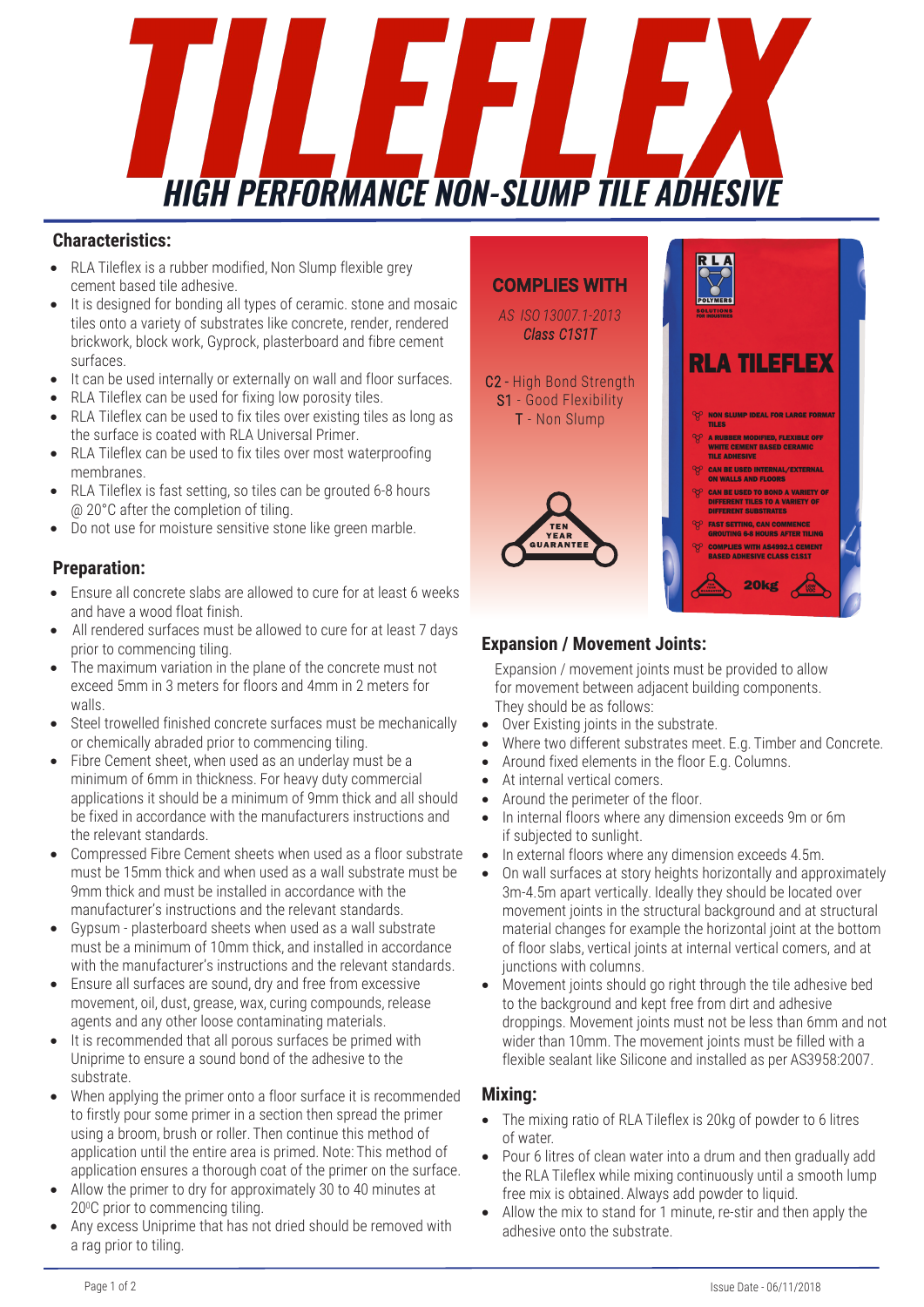

#### **Characteristics:**

- RLA Tileflex is a rubber modified, Non Slump flexible grey cement based tile adhesive.
- It is designed for bonding all types of ceramic, stone and mosaic tiles onto a variety of substrates like concrete, render, rendered brickwork, block work, Gyprock, plasterboard and fibre cement surfaces.
- It can be used internally or externally on wall and floor surfaces.
- RLA Tileflex can be used for fixing low porosity tiles.
- RLA Tileflex can be used to fix tiles over existing tiles as long as the surface is coated with RLA Universal Primer.
- RLA Tileflex can be used to fix tiles over most waterproofing membranes.
- RLA Tileflex is fast setting, so tiles can be grouted 6-8 hours @ 20°C after the completion of tiling.
- Do not use for moisture sensitive stone like green marble.

### **Preparation:**

- Ensure all concrete slabs are allowed to cure for at least 6 weeks and have a wood float finish.
- All rendered surfaces must be allowed to cure for at least 7 days prior to commencing tiling.
- The maximum variation in the plane of the concrete must not exceed 5mm in 3 meters for floors and 4mm in 2 meters for walls.
- Steel trowelled finished concrete surfaces must be mechanically or chemically abraded prior to commencing tiling.
- Fibre Cement sheet, when used as an underlay must be a minimum of 6mm in thickness. For heavy duty commercial applications it should be a minimum of 9mm thick and all should be fixed in accordance with the manufacturers instructions and the relevant standards.
- Compressed Fibre Cement sheets when used as a floor substrate must be 15mm thick and when used as a wall substrate must be 9mm thick and must be installed in accordance with the manufacturer's instructions and the relevant standards.
- Gypsum plasterboard sheets when used as a wall substrate must be a minimum of 10mm thick, and installed in accordance with the manufacturer's instructions and the relevant standards.
- Ensure all surfaces are sound, dry and free from excessive movement, oil, dust, grease, wax, curing compounds, release agents and any other loose contaminating materials.
- It is recommended that all porous surfaces be primed with Uniprime to ensure a sound bond of the adhesive to the substrate.
- When applying the primer onto a floor surface it is recommended to firstly pour some primer in a section then spread the primer using a broom, brush or roller. Then continue this method of application until the entire area is primed. Note: This method of application ensures a thorough coat of the primer on the surface.
- Allow the primer to dry for approximately 30 to 40 minutes at 200C prior to commencing tiling.
- Any excess Uniprime that has not dried should be removed with a rag prior to tiling.



### **Expansion / Movement Joints:**

Expansion / movement joints must be provided to allow for movement between adjacent building components. They should be as follows:

- Over Existing joints in the substrate.
- Where two different substrates meet. E.g. Timber and Concrete.
- Around fixed elements in the floor E.g. Columns.
- At internal vertical comers.
- Around the perimeter of the floor.
- In internal floors where any dimension exceeds 9m or 6m if subjected to sunlight.
- In external floors where any dimension exceeds 4.5m.
- On wall surfaces at story heights horizontally and approximately 3m-4.5m apart vertically. Ideally they should be located over movement joints in the structural background and at structural material changes for example the horizontal joint at the bottom of floor slabs, vertical joints at internal vertical comers, and at iunctions with columns.
- Movement joints should go right through the tile adhesive bed to the background and kept free from dirt and adhesive droppings. Movement joints must not be less than 6mm and not wider than 10mm. The movement joints must be filled with a flexible sealant like Silicone and installed as per AS3958:2007.

### **Mixing:**

- The mixing ratio of RLA Tileflex is 20kg of powder to 6 litres of water.
- Pour 6 litres of clean water into a drum and then gradually add the RLA Tileflex while mixing continuously until a smooth lump free mix is obtained. Always add powder to liquid.
- Allow the mix to stand for 1 minute, re-stir and then apply the adhesive onto the substrate.